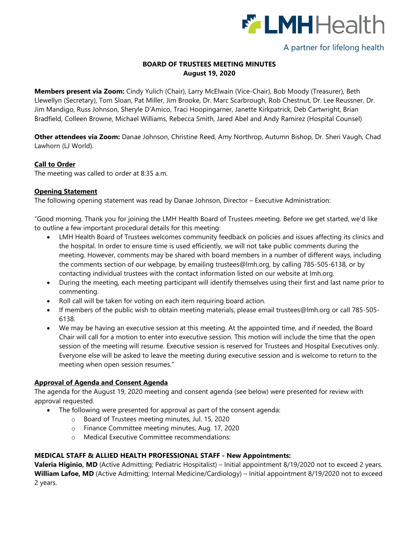

# A partner for lifelong health

# **BOARD OF TRUSTEES MEETING MINUTES August 19, 2020**

**Members present via Zoom:** Cindy Yulich (Chair), Larry McElwain (Vice-Chair), Bob Moody (Treasurer), Beth Llewellyn (Secretary), Tom Sloan, Pat Miller, Jim Brooke, Dr. Marc Scarbrough, Rob Chestnut, Dr. Lee Reussner, Dr. Jim Mandigo, Russ Johnson, Sheryle D'Amico, Traci Hoopingarner, Janette Kirkpatrick, Deb Cartwright, Brian Bradfield, Colleen Browne, Michael Williams, Rebecca Smith, Jared Abel and Andy Ramirez (Hospital Counsel)

**Other attendees via Zoom:** Danae Johnson, Christine Reed, Amy Northrop, Autumn Bishop, Dr. Sheri Vaugh, Chad Lawhorn (LJ World).

#### **Call to Order**

The meeting was called to order at 8:35 a.m.

### **Opening Statement**

The following opening statement was read by Danae Johnson, Director – Executive Administration:

"Good morning. Thank you for joining the LMH Health Board of Trustees meeting. Before we get started, we'd like to outline a few important procedural details for this meeting:

- LMH Health Board of Trustees welcomes community feedback on policies and issues affecting its clinics and the hospital. In order to ensure time is used efficiently, we will not take public comments during the meeting. However, comments may be shared with board members in a number of different ways, including the comments section of our webpage, by emailing [trustees@lmh.org,](mailto:trustees@lmh.org) by calling 785-505-6138, or by contacting individual trustees with the contact information listed on our website at lmh.org.
- During the meeting, each meeting participant will identify themselves using their first and last name prior to commenting.
- Roll call will be taken for voting on each item requiring board action.
- If members of the public wish to obtain meeting materials, please email [trustees@lmh.org](mailto:trustees@lmh.org) or call 785-505- 6138.
- We may be having an executive session at this meeting. At the appointed time, and if needed, the Board Chair will call for a motion to enter into executive session. This motion will include the time that the open session of the meeting will resume. Executive session is reserved for Trustees and Hospital Executives only. Everyone else will be asked to leave the meeting during executive session and is welcome to return to the meeting when open session resumes."

# **Approval of Agenda and Consent Agenda**

The agenda for the August 19, 2020 meeting and consent agenda (see below) were presented for review with approval requested.

- The following were presented for approval as part of the consent agenda:
	- o Board of Trustees meeting minutes, Jul. 15, 2020
	- o Finance Committee meeting minutes, Aug. 17, 2020
	- o Medical Executive Committee recommendations:

#### **MEDICAL STAFF & ALLIED HEALTH PROFESSIONAL STAFF - New Appointments:**

**Valeria Higinio, MD** (Active Admitting; Pediatric Hospitalist) – Initial appointment 8/19/2020 not to exceed 2 years. **William Lafoe, MD** (Active Admitting; Internal Medicine/Cardiology) – Initial appointment 8/19/2020 not to exceed 2 years.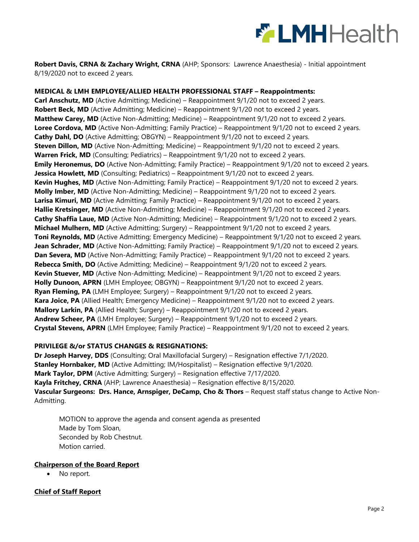

**Robert Davis, CRNA & Zachary Wright, CRNA** (AHP; Sponsors: Lawrence Anaesthesia) - Initial appointment 8/19/2020 not to exceed 2 years.

**MEDICAL & LMH EMPLOYEE/ALLIED HEALTH PROFESSIONAL STAFF – Reappointments: Carl Anschutz, MD** (Active Admitting; Medicine) – Reappointment 9/1/20 not to exceed 2 years. **Robert Beck, MD** (Active Admitting; Medicine) – Reappointment 9/1/20 not to exceed 2 years. **Matthew Carey, MD** (Active Non-Admitting; Medicine) – Reappointment 9/1/20 not to exceed 2 years. **Loree Cordova, MD** (Active Non-Admitting; Family Practice) – Reappointment 9/1/20 not to exceed 2 years. **Cathy Dahl, DO** (Active Admitting; OBGYN) – Reappointment 9/1/20 not to exceed 2 years. **Steven Dillon, MD** (Active Non-Admitting; Medicine) – Reappointment 9/1/20 not to exceed 2 years. **Warren Frick, MD** (Consulting; Pediatrics) – Reappointment 9/1/20 not to exceed 2 years. **Emily Heronemus, DO** (Active Non-Admitting; Family Practice) – Reappointment 9/1/20 not to exceed 2 years. **Jessica Howlett, MD** (Consulting; Pediatrics) – Reappointment 9/1/20 not to exceed 2 years. **Kevin Hughes, MD** (Active Non-Admitting; Family Practice) – Reappointment 9/1/20 not to exceed 2 years. **Molly Imber, MD** (Active Non-Admitting; Medicine) – Reappointment 9/1/20 not to exceed 2 years. Larisa Kimuri, MD (Active Admitting; Family Practice) – Reappointment 9/1/20 not to exceed 2 years. **Hallie Kretsinger, MD** (Active Non-Admitting; Medicine) – Reappointment 9/1/20 not to exceed 2 years. **Cathy Shaffia Laue, MD** (Active Non-Admitting; Medicine) – Reappointment 9/1/20 not to exceed 2 years. **Michael Mulhern, MD** (Active Admitting; Surgery) – Reappointment 9/1/20 not to exceed 2 years. **Toni Reynolds, MD** (Active Admitting; Emergency Medicine) – Reappointment 9/1/20 not to exceed 2 years. **Jean Schrader, MD** (Active Non-Admitting; Family Practice) – Reappointment 9/1/20 not to exceed 2 years. **Dan Severa, MD** (Active Non-Admitting; Family Practice) – Reappointment 9/1/20 not to exceed 2 years. **Rebecca Smith, DO** (Active Admitting; Medicine) – Reappointment 9/1/20 not to exceed 2 years. **Kevin Stuever, MD** (Active Non-Admitting; Medicine) – Reappointment 9/1/20 not to exceed 2 years. Holly Dunoon, APRN (LMH Employee; OBGYN) – Reappointment 9/1/20 not to exceed 2 years. **Ryan Fleming, PA** (LMH Employee; Surgery) – Reappointment 9/1/20 not to exceed 2 years. **Kara Joice, PA** (Allied Health; Emergency Medicine) – Reappointment 9/1/20 not to exceed 2 years. **Mallory Larkin, PA** (Allied Health; Surgery) – Reappointment 9/1/20 not to exceed 2 years. **Andrew Scheer, PA** (LMH Employee; Surgery) – Reappointment 9/1/20 not to exceed 2 years. **Crystal Stevens, APRN** (LMH Employee; Family Practice) – Reappointment 9/1/20 not to exceed 2 years.

#### **PRIVILEGE &/or STATUS CHANGES & RESIGNATIONS:**

**Dr Joseph Harvey, DDS** (Consulting; Oral Maxillofacial Surgery) – Resignation effective 7/1/2020. **Stanley Hornbaker, MD** (Active Admitting; IM/Hospitalist) – Resignation effective 9/1/2020. **Mark Taylor, DPM** (Active Admitting; Surgery) – Resignation effective 7/17/2020. **Kayla Fritchey, CRNA** (AHP; Lawrence Anaesthesia) – Resignation effective 8/15/2020. **Vascular Surgeons: Drs. Hance, Arnspiger, DeCamp, Cho & Thors** – Request staff status change to Active Non-Admitting.

MOTION to approve the agenda and consent agenda as presented Made by Tom Sloan, Seconded by Rob Chestnut. Motion carried.

#### **Chairperson of the Board Report**

• No report.

#### **Chief of Staff Report**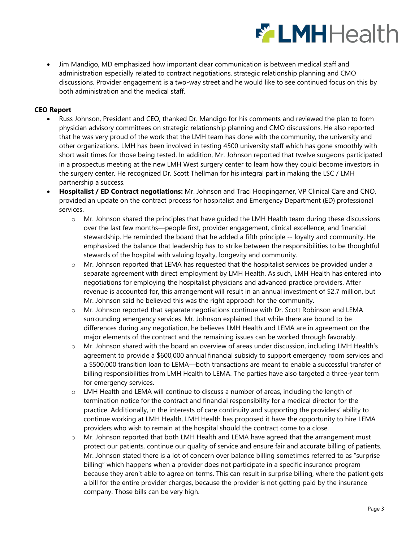

• Jim Mandigo, MD emphasized how important clear communication is between medical staff and administration especially related to contract negotiations, strategic relationship planning and CMO discussions. Provider engagement is a two-way street and he would like to see continued focus on this by both administration and the medical staff.

### **CEO Report**

- Russ Johnson, President and CEO, thanked Dr. Mandigo for his comments and reviewed the plan to form physician advisory committees on strategic relationship planning and CMO discussions. He also reported that he was very proud of the work that the LMH team has done with the community, the university and other organizations. LMH has been involved in testing 4500 university staff which has gone smoothly with short wait times for those being tested. In addition, Mr. Johnson reported that twelve surgeons participated in a prospectus meeting at the new LMH West surgery center to learn how they could become investors in the surgery center. He recognized Dr. Scott Thellman for his integral part in making the LSC / LMH partnership a success.
- **Hospitalist / ED Contract negotiations:** Mr. Johnson and Traci Hoopingarner, VP Clinical Care and CNO, provided an update on the contract process for hospitalist and Emergency Department (ED) professional services.
	- $\circ$  Mr. Johnson shared the principles that have quided the LMH Health team during these discussions over the last few months—people first, provider engagement, clinical excellence, and financial stewardship. He reminded the board that he added a fifth principle -- loyalty and community. He emphasized the balance that leadership has to strike between the responsibilities to be thoughtful stewards of the hospital with valuing loyalty, longevity and community.
	- o Mr. Johnson reported that LEMA has requested that the hospitalist services be provided under a separate agreement with direct employment by LMH Health. As such, LMH Health has entered into negotiations for employing the hospitalist physicians and advanced practice providers. After revenue is accounted for, this arrangement will result in an annual investment of \$2.7 million, but Mr. Johnson said he believed this was the right approach for the community.
	- o Mr. Johnson reported that separate negotiations continue with Dr. Scott Robinson and LEMA surrounding emergency services. Mr. Johnson explained that while there are bound to be differences during any negotiation, he believes LMH Health and LEMA are in agreement on the major elements of the contract and the remaining issues can be worked through favorably.
	- o Mr. Johnson shared with the board an overview of areas under discussion, including LMH Health's agreement to provide a \$600,000 annual financial subsidy to support emergency room services and a \$500,000 transition loan to LEMA—both transactions are meant to enable a successful transfer of billing responsibilities from LMH Health to LEMA. The parties have also targeted a three-year term for emergency services.
	- o LMH Health and LEMA will continue to discuss a number of areas, including the length of termination notice for the contract and financial responsibility for a medical director for the practice. Additionally, in the interests of care continuity and supporting the providers' ability to continue working at LMH Health, LMH Health has proposed it have the opportunity to hire LEMA providers who wish to remain at the hospital should the contract come to a close.
	- o Mr. Johnson reported that both LMH Health and LEMA have agreed that the arrangement must protect our patients, continue our quality of service and ensure fair and accurate billing of patients. Mr. Johnson stated there is a lot of concern over balance billing sometimes referred to as "surprise billing" which happens when a provider does not participate in a specific insurance program because they aren't able to agree on terms. This can result in surprise billing, where the patient gets a bill for the entire provider charges, because the provider is not getting paid by the insurance company. Those bills can be very high.